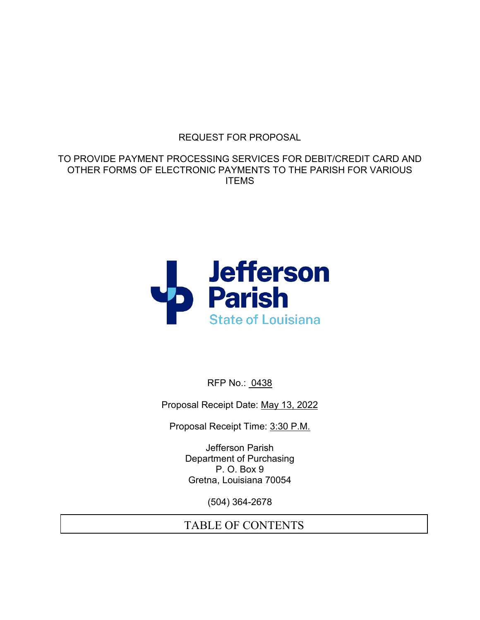### REQUEST FOR PROPOSAL

TO PROVIDE PAYMENT PROCESSING SERVICES FOR DEBIT/CREDIT CARD AND OTHER FORMS OF ELECTRONIC PAYMENTS TO THE PARISH FOR VARIOUS ITEMS



RFP No.: 0438

Proposal Receipt Date: May 13, 2022

Proposal Receipt Time: 3:30 P.M.

Jefferson Parish Department of Purchasing P. O. Box 9 Gretna, Louisiana 70054

(504) 364-2678

# TABLE OF CONTENTS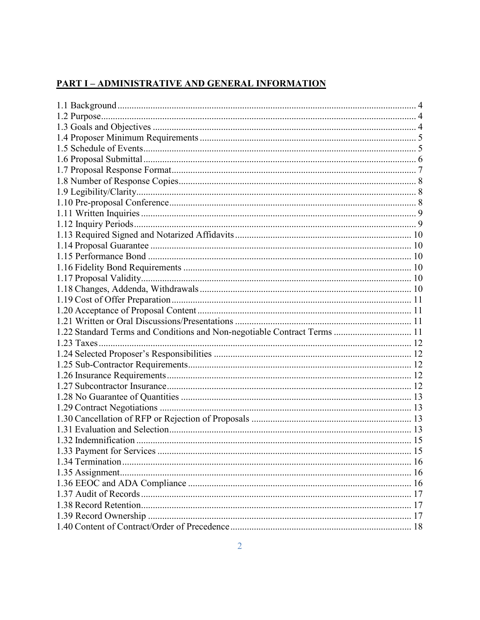### **PART I - ADMINISTRATIVE AND GENERAL INFORMATION**

| 1.22 Standard Terms and Conditions and Non-negotiable Contract Terms  11 |  |
|--------------------------------------------------------------------------|--|
|                                                                          |  |
|                                                                          |  |
|                                                                          |  |
|                                                                          |  |
|                                                                          |  |
|                                                                          |  |
|                                                                          |  |
|                                                                          |  |
|                                                                          |  |
|                                                                          |  |
|                                                                          |  |
|                                                                          |  |
|                                                                          |  |
|                                                                          |  |
|                                                                          |  |
|                                                                          |  |
|                                                                          |  |
|                                                                          |  |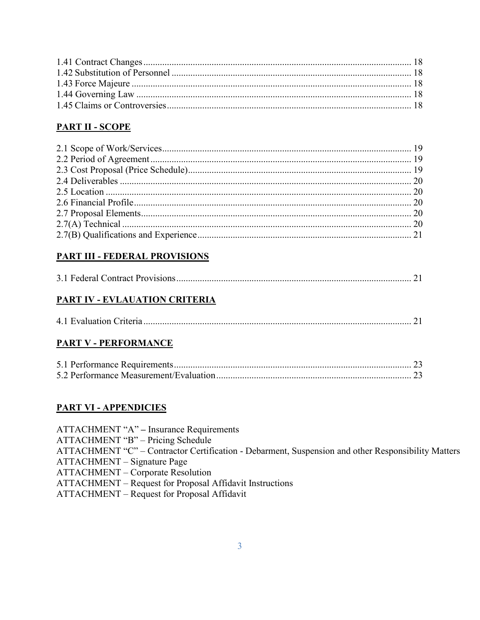### **PART II - SCOPE**

# **PART III - FEDERAL PROVISIONS**

### **PART IV - EVLAUATION CRITERIA**

|--|--|--|

### **PART V - PERFORMANCE**

### **PART VI - APPENDICIES**

ATTACHMENT "A" - Insurance Requirements ATTACHMENT "B" - Pricing Schedule ATTACHMENT "C" - Contractor Certification - Debarment, Suspension and other Responsibility Matters ATTACHMENT - Signature Page **ATTACHMENT - Corporate Resolution** ATTACHMENT - Request for Proposal Affidavit Instructions ATTACHMENT - Request for Proposal Affidavit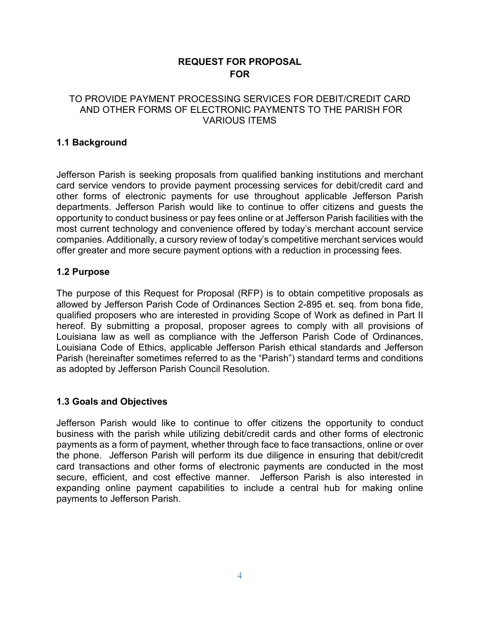### **REQUEST FOR PROPOSAL FOR**

#### TO PROVIDE PAYMENT PROCESSING SERVICES FOR DEBIT/CREDIT CARD AND OTHER FORMS OF ELECTRONIC PAYMENTS TO THE PARISH FOR VARIOUS ITEMS

#### <span id="page-3-0"></span>**1.1 Background**

Jefferson Parish is seeking proposals from qualified banking institutions and merchant card service vendors to provide payment processing services for debit/credit card and other forms of electronic payments for use throughout applicable Jefferson Parish departments. Jefferson Parish would like to continue to offer citizens and guests the opportunity to conduct business or pay fees online or at Jefferson Parish facilities with the most current technology and convenience offered by today's merchant account service companies. Additionally, a cursory review of today's competitive merchant services would offer greater and more secure payment options with a reduction in processing fees.

#### <span id="page-3-1"></span>**1.2 Purpose**

The purpose of this Request for Proposal (RFP) is to obtain competitive proposals as allowed by Jefferson Parish Code of Ordinances Section 2-895 et. seq. from bona fide, qualified proposers who are interested in providing Scope of Work as defined in Part II hereof. By submitting a proposal, proposer agrees to comply with all provisions of Louisiana law as well as compliance with the Jefferson Parish Code of Ordinances, Louisiana Code of Ethics, applicable Jefferson Parish ethical standards and Jefferson Parish (hereinafter sometimes referred to as the "Parish") standard terms and conditions as adopted by Jefferson Parish Council Resolution.

### <span id="page-3-2"></span>**1.3 Goals and Objectives**

Jefferson Parish would like to continue to offer citizens the opportunity to conduct business with the parish while utilizing debit/credit cards and other forms of electronic payments as a form of payment, whether through face to face transactions, online or over the phone. Jefferson Parish will perform its due diligence in ensuring that debit/credit card transactions and other forms of electronic payments are conducted in the most secure, efficient, and cost effective manner. Jefferson Parish is also interested in expanding online payment capabilities to include a central hub for making online payments to Jefferson Parish.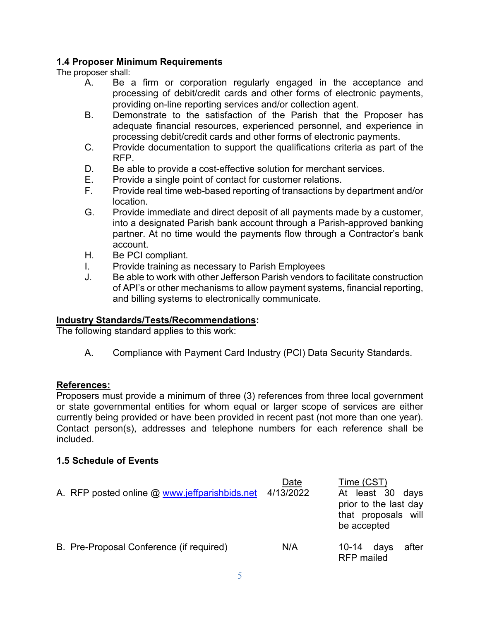#### <span id="page-4-0"></span>**1.4 Proposer Minimum Requirements**

The proposer shall:

- A. Be a firm or corporation regularly engaged in the acceptance and processing of debit/credit cards and other forms of electronic payments, providing on-line reporting services and/or collection agent.
- B. Demonstrate to the satisfaction of the Parish that the Proposer has adequate financial resources, experienced personnel, and experience in processing debit/credit cards and other forms of electronic payments.
- C. Provide documentation to support the qualifications criteria as part of the RFP.
- D. Be able to provide a cost-effective solution for merchant services.
- E. Provide a single point of contact for customer relations.<br>F. Provide real time web-based reporting of transactions by
- Provide real time web-based reporting of transactions by department and/or location.
- G. Provide immediate and direct deposit of all payments made by a customer, into a designated Parish bank account through a Parish-approved banking partner. At no time would the payments flow through a Contractor's bank account.
- H. Be PCI compliant.
- I. Provide training as necessary to Parish Employees
- J. Be able to work with other Jefferson Parish vendors to facilitate construction of API's or other mechanisms to allow payment systems, financial reporting, and billing systems to electronically communicate.

### **Industry Standards/Tests/Recommendations:**

The following standard applies to this work:

A. Compliance with Payment Card Industry (PCI) Data Security Standards.

### **References:**

Proposers must provide a minimum of three (3) references from three local government or state governmental entities for whom equal or larger scope of services are either currently being provided or have been provided in recent past (not more than one year). Contact person(s), addresses and telephone numbers for each reference shall be included.

### <span id="page-4-1"></span>**1.5 Schedule of Events**

| A. RFP posted online @ www.jeffparishbids.net 4/13/2022 | Date | Time (CST)<br>At least 30 days<br>prior to the last day<br>that proposals will<br>be accepted |      |       |
|---------------------------------------------------------|------|-----------------------------------------------------------------------------------------------|------|-------|
| B. Pre-Proposal Conference (if required)                | N/A  | $10 - 14$<br><b>RFP</b> mailed                                                                | days | after |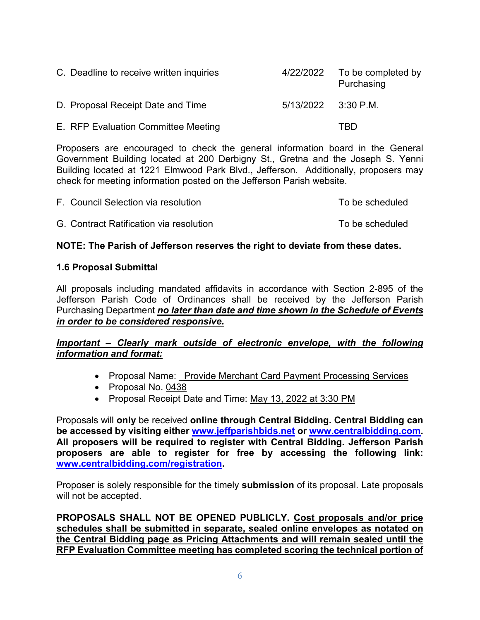| C. Deadline to receive written inquiries | 4/22/2022             | To be completed by<br>Purchasing |
|------------------------------------------|-----------------------|----------------------------------|
| D. Proposal Receipt Date and Time        | $5/13/2022$ 3:30 P.M. |                                  |
| E. RFP Evaluation Committee Meeting      |                       | TRD                              |

Proposers are encouraged to check the general information board in the General Government Building located at 200 Derbigny St., Gretna and the Joseph S. Yenni Building located at 1221 Elmwood Park Blvd., Jefferson. Additionally, proposers may check for meeting information posted on the Jefferson Parish website.

| F. Council Selection via resolution     | To be scheduled |
|-----------------------------------------|-----------------|
| G. Contract Ratification via resolution | To be scheduled |

#### **NOTE: The Parish of Jefferson reserves the right to deviate from these dates.**

#### <span id="page-5-0"></span>**1.6 Proposal Submittal**

All proposals including mandated affidavits in accordance with Section 2-895 of the Jefferson Parish Code of Ordinances shall be received by the Jefferson Parish Purchasing Department *no later than date and time shown in the Schedule of Events in order to be considered responsive.*

### *Important – Clearly mark outside of electronic envelope, with the following information and format:*

- Proposal Name: Provide Merchant Card Payment Processing Services
- Proposal No. 0438
- Proposal Receipt Date and Time: May 13, 2022 at 3:30 PM

Proposals will **only** be received **online through Central Bidding. Central Bidding can be accessed by visiting either [www.jeffparishbids.net](http://www.jeffparishbids.net/) or [www.centralbidding.com.](http://www.centralbidding.com/) All proposers will be required to register with Central Bidding. Jefferson Parish proposers are able to register for free by accessing the following link: [www.centralbidding.com/registration.](http://www.centralbidding.com/registration)** 

Proposer is solely responsible for the timely **submission** of its proposal. Late proposals will not be accepted.

**PROPOSALS SHALL NOT BE OPENED PUBLICLY. Cost proposals and/or price schedules shall be submitted in separate, sealed online envelopes as notated on the Central Bidding page as Pricing Attachments and will remain sealed until the RFP Evaluation Committee meeting has completed scoring the technical portion of**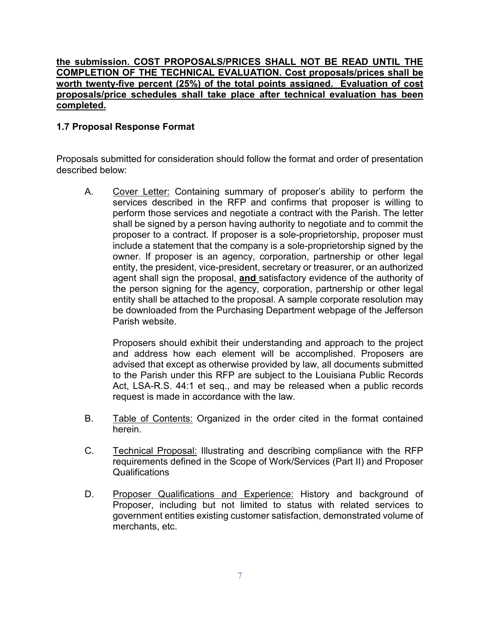#### **the submission. COST PROPOSALS/PRICES SHALL NOT BE READ UNTIL THE COMPLETION OF THE TECHNICAL EVALUATION. Cost proposals/prices shall be worth twenty-five percent (25%) of the total points assigned. Evaluation of cost proposals/price schedules shall take place after technical evaluation has been completed.**

#### <span id="page-6-0"></span>**1.7 Proposal Response Format**

Proposals submitted for consideration should follow the format and order of presentation described below:

A. Cover Letter: Containing summary of proposer's ability to perform the services described in the RFP and confirms that proposer is willing to perform those services and negotiate a contract with the Parish. The letter shall be signed by a person having authority to negotiate and to commit the proposer to a contract. If proposer is a sole-proprietorship, proposer must include a statement that the company is a sole-proprietorship signed by the owner. If proposer is an agency, corporation, partnership or other legal entity, the president, vice-president, secretary or treasurer, or an authorized agent shall sign the proposal, **and** satisfactory evidence of the authority of the person signing for the agency, corporation, partnership or other legal entity shall be attached to the proposal. A sample corporate resolution may be downloaded from the Purchasing Department webpage of the Jefferson Parish website.

Proposers should exhibit their understanding and approach to the project and address how each element will be accomplished. Proposers are advised that except as otherwise provided by law, all documents submitted to the Parish under this RFP are subject to the Louisiana Public Records Act, LSA-R.S. 44:1 et seq., and may be released when a public records request is made in accordance with the law.

- B. Table of Contents: Organized in the order cited in the format contained herein.
- C. Technical Proposal: Illustrating and describing compliance with the RFP requirements defined in the Scope of Work/Services (Part II) and Proposer Qualifications
- D. Proposer Qualifications and Experience: History and background of Proposer, including but not limited to status with related services to government entities existing customer satisfaction, demonstrated volume of merchants, etc.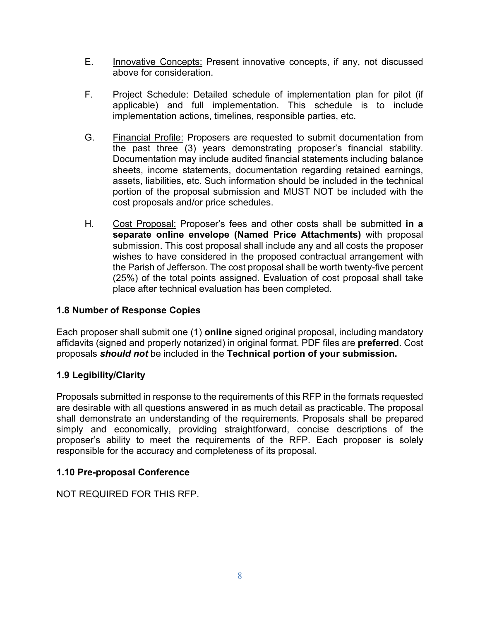- E. Innovative Concepts: Present innovative concepts, if any, not discussed above for consideration.
- F. Project Schedule: Detailed schedule of implementation plan for pilot (if applicable) and full implementation. This schedule is to include implementation actions, timelines, responsible parties, etc.
- G. Financial Profile: Proposers are requested to submit documentation from the past three (3) years demonstrating proposer's financial stability. Documentation may include audited financial statements including balance sheets, income statements, documentation regarding retained earnings, assets, liabilities, etc. Such information should be included in the technical portion of the proposal submission and MUST NOT be included with the cost proposals and/or price schedules.
- H. Cost Proposal: Proposer's fees and other costs shall be submitted **in a separate online envelope (Named Price Attachments)** with proposal submission. This cost proposal shall include any and all costs the proposer wishes to have considered in the proposed contractual arrangement with the Parish of Jefferson. The cost proposal shall be worth twenty-five percent (25%) of the total points assigned. Evaluation of cost proposal shall take place after technical evaluation has been completed.

### <span id="page-7-0"></span>**1.8 Number of Response Copies**

Each proposer shall submit one (1) **online** signed original proposal, including mandatory affidavits (signed and properly notarized) in original format. PDF files are **preferred**. Cost proposals *should not* be included in the **Technical portion of your submission.**

#### <span id="page-7-1"></span>**1.9 Legibility/Clarity**

Proposals submitted in response to the requirements of this RFP in the formats requested are desirable with all questions answered in as much detail as practicable. The proposal shall demonstrate an understanding of the requirements. Proposals shall be prepared simply and economically, providing straightforward, concise descriptions of the proposer's ability to meet the requirements of the RFP. Each proposer is solely responsible for the accuracy and completeness of its proposal.

#### <span id="page-7-2"></span>**1.10 Pre-proposal Conference**

NOT REQUIRED FOR THIS RFP.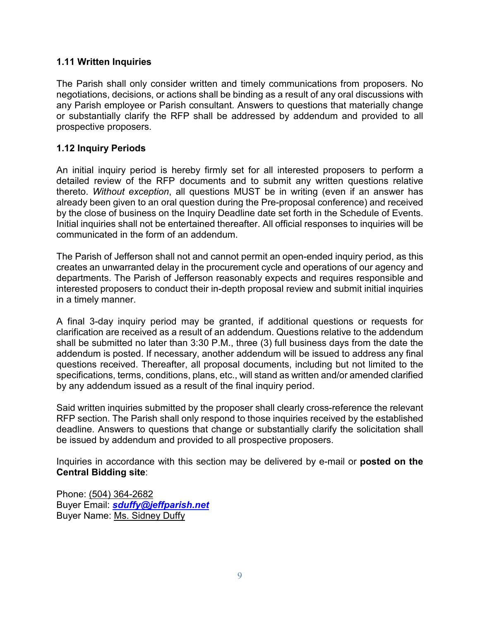#### <span id="page-8-0"></span>**1.11 Written Inquiries**

The Parish shall only consider written and timely communications from proposers. No negotiations, decisions, or actions shall be binding as a result of any oral discussions with any Parish employee or Parish consultant. Answers to questions that materially change or substantially clarify the RFP shall be addressed by addendum and provided to all prospective proposers.

#### <span id="page-8-1"></span>**1.12 Inquiry Periods**

An initial inquiry period is hereby firmly set for all interested proposers to perform a detailed review of the RFP documents and to submit any written questions relative thereto. *Without exception*, all questions MUST be in writing (even if an answer has already been given to an oral question during the Pre-proposal conference) and received by the close of business on the Inquiry Deadline date set forth in the Schedule of Events. Initial inquiries shall not be entertained thereafter. All official responses to inquiries will be communicated in the form of an addendum.

The Parish of Jefferson shall not and cannot permit an open-ended inquiry period, as this creates an unwarranted delay in the procurement cycle and operations of our agency and departments. The Parish of Jefferson reasonably expects and requires responsible and interested proposers to conduct their in-depth proposal review and submit initial inquiries in a timely manner.

A final 3-day inquiry period may be granted, if additional questions or requests for clarification are received as a result of an addendum. Questions relative to the addendum shall be submitted no later than 3:30 P.M., three (3) full business days from the date the addendum is posted. If necessary, another addendum will be issued to address any final questions received. Thereafter, all proposal documents, including but not limited to the specifications, terms, conditions, plans, etc., will stand as written and/or amended clarified by any addendum issued as a result of the final inquiry period.

Said written inquiries submitted by the proposer shall clearly cross-reference the relevant RFP section. The Parish shall only respond to those inquiries received by the established deadline. Answers to questions that change or substantially clarify the solicitation shall be issued by addendum and provided to all prospective proposers.

Inquiries in accordance with this section may be delivered by e-mail or **posted on the Central Bidding site**:

Phone: (504) 364-2682 Buyer Email: *[sduffy@jeffparish.net](mailto:sduffy@jeffparish.net)* Buyer Name: Ms. Sidney Duffy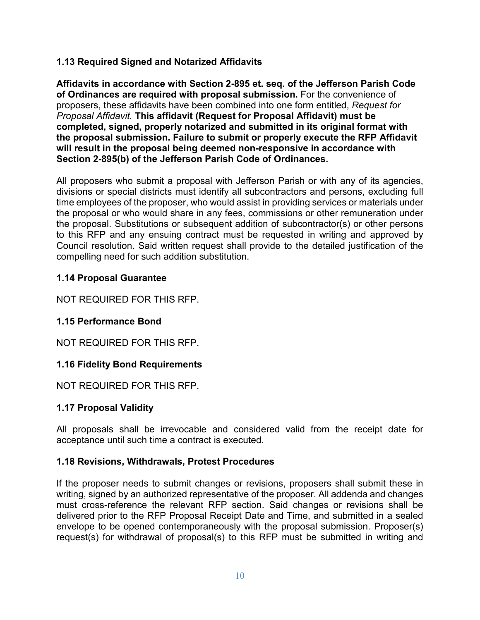### <span id="page-9-0"></span>**1.13 Required Signed and Notarized Affidavits**

**Affidavits in accordance with Section 2-895 et. seq. of the Jefferson Parish Code of Ordinances are required with proposal submission.** For the convenience of proposers, these affidavits have been combined into one form entitled, *Request for Proposal Affidavit.* **This affidavit (Request for Proposal Affidavit) must be completed, signed, properly notarized and submitted in its original format with the proposal submission. Failure to submit or properly execute the RFP Affidavit will result in the proposal being deemed non-responsive in accordance with Section 2-895(b) of the Jefferson Parish Code of Ordinances.**

All proposers who submit a proposal with Jefferson Parish or with any of its agencies, divisions or special districts must identify all subcontractors and persons, excluding full time employees of the proposer, who would assist in providing services or materials under the proposal or who would share in any fees, commissions or other remuneration under the proposal. Substitutions or subsequent addition of subcontractor(s) or other persons to this RFP and any ensuing contract must be requested in writing and approved by Council resolution. Said written request shall provide to the detailed justification of the compelling need for such addition substitution.

### <span id="page-9-1"></span>**1.14 Proposal Guarantee**

NOT REQUIRED FOR THIS RFP.

# <span id="page-9-2"></span>**1.15 Performance Bond**

NOT REQUIRED FOR THIS RFP.

### <span id="page-9-3"></span>**1.16 Fidelity Bond Requirements**

NOT REQUIRED FOR THIS RFP.

### <span id="page-9-4"></span>**1.17 Proposal Validity**

All proposals shall be irrevocable and considered valid from the receipt date for acceptance until such time a contract is executed.

### <span id="page-9-5"></span>**1.18 Revisions, Withdrawals, Protest Procedures**

If the proposer needs to submit changes or revisions, proposers shall submit these in writing, signed by an authorized representative of the proposer. All addenda and changes must cross-reference the relevant RFP section. Said changes or revisions shall be delivered prior to the RFP Proposal Receipt Date and Time, and submitted in a sealed envelope to be opened contemporaneously with the proposal submission. Proposer(s) request(s) for withdrawal of proposal(s) to this RFP must be submitted in writing and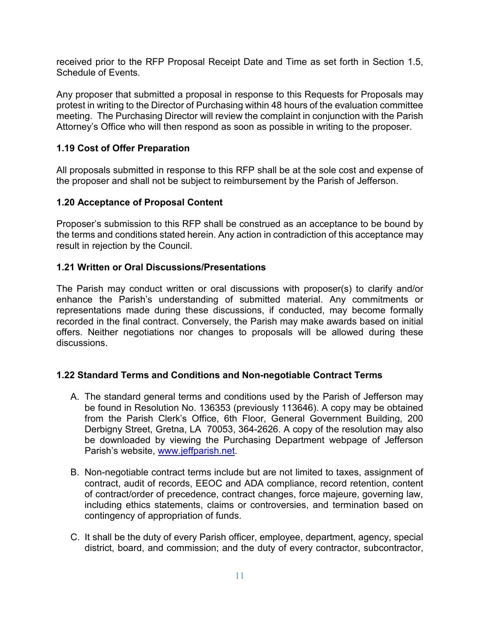received prior to the RFP Proposal Receipt Date and Time as set forth in Section 1.5, Schedule of Events.

Any proposer that submitted a proposal in response to this Requests for Proposals may protest in writing to the Director of Purchasing within 48 hours of the evaluation committee meeting. The Purchasing Director will review the complaint in conjunction with the Parish Attorney's Office who will then respond as soon as possible in writing to the proposer.

#### <span id="page-10-0"></span>**1.19 Cost of Offer Preparation**

All proposals submitted in response to this RFP shall be at the sole cost and expense of the proposer and shall not be subject to reimbursement by the Parish of Jefferson.

#### <span id="page-10-1"></span>**1.20 Acceptance of Proposal Content**

Proposer's submission to this RFP shall be construed as an acceptance to be bound by the terms and conditions stated herein. Any action in contradiction of this acceptance may result in rejection by the Council.

#### <span id="page-10-2"></span>**1.21 Written or Oral Discussions/Presentations**

The Parish may conduct written or oral discussions with proposer(s) to clarify and/or enhance the Parish's understanding of submitted material. Any commitments or representations made during these discussions, if conducted, may become formally recorded in the final contract. Conversely, the Parish may make awards based on initial offers. Neither negotiations nor changes to proposals will be allowed during these discussions.

#### <span id="page-10-3"></span>**1.22 Standard Terms and Conditions and Non-negotiable Contract Terms**

- A. The standard general terms and conditions used by the Parish of Jefferson may be found in Resolution No. 136353 (previously 113646). A copy may be obtained from the Parish Clerk's Office, 6th Floor, General Government Building, 200 Derbigny Street, Gretna, LA 70053, 364-2626. A copy of the resolution may also be downloaded by viewing the Purchasing Department webpage of Jefferson Parish's website, [www.jeffparish.net.](http://www.jeffparish.net/)
- B. Non-negotiable contract terms include but are not limited to taxes, assignment of contract, audit of records, EEOC and ADA compliance, record retention, content of contract/order of precedence, contract changes, force majeure, governing law, including ethics statements, claims or controversies, and termination based on contingency of appropriation of funds.
- C. It shall be the duty of every Parish officer, employee, department, agency, special district, board, and commission; and the duty of every contractor, subcontractor,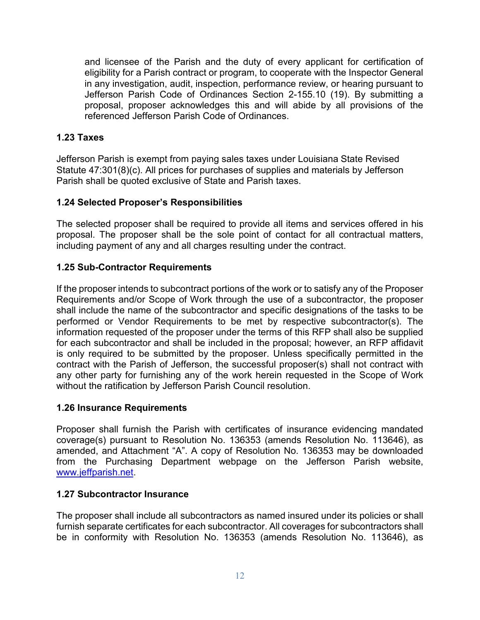and licensee of the Parish and the duty of every applicant for certification of eligibility for a Parish contract or program, to cooperate with the Inspector General in any investigation, audit, inspection, performance review, or hearing pursuant to Jefferson Parish Code of Ordinances Section 2-155.10 (19). By submitting a proposal, proposer acknowledges this and will abide by all provisions of the referenced Jefferson Parish Code of Ordinances.

#### <span id="page-11-0"></span>**1.23 Taxes**

Jefferson Parish is exempt from paying sales taxes under Louisiana State Revised Statute 47:301(8)(c). All prices for purchases of supplies and materials by Jefferson Parish shall be quoted exclusive of State and Parish taxes.

#### <span id="page-11-1"></span>**1.24 Selected Proposer's Responsibilities**

The selected proposer shall be required to provide all items and services offered in his proposal. The proposer shall be the sole point of contact for all contractual matters, including payment of any and all charges resulting under the contract.

#### <span id="page-11-2"></span>**1.25 Sub-Contractor Requirements**

If the proposer intends to subcontract portions of the work or to satisfy any of the Proposer Requirements and/or Scope of Work through the use of a subcontractor, the proposer shall include the name of the subcontractor and specific designations of the tasks to be performed or Vendor Requirements to be met by respective subcontractor(s). The information requested of the proposer under the terms of this RFP shall also be supplied for each subcontractor and shall be included in the proposal; however, an RFP affidavit is only required to be submitted by the proposer. Unless specifically permitted in the contract with the Parish of Jefferson, the successful proposer(s) shall not contract with any other party for furnishing any of the work herein requested in the Scope of Work without the ratification by Jefferson Parish Council resolution.

#### <span id="page-11-3"></span>**1.26 Insurance Requirements**

Proposer shall furnish the Parish with certificates of insurance evidencing mandated coverage(s) pursuant to Resolution No. 136353 (amends Resolution No. 113646), as amended, and Attachment "A". A copy of Resolution No. 136353 may be downloaded from the Purchasing Department webpage on the Jefferson Parish website, [www.jeffparish.net.](http://www.jeffparish.net/)

#### <span id="page-11-4"></span>**1.27 Subcontractor Insurance**

The proposer shall include all subcontractors as named insured under its policies or shall furnish separate certificates for each subcontractor. All coverages for subcontractors shall be in conformity with Resolution No. 136353 (amends Resolution No. 113646), as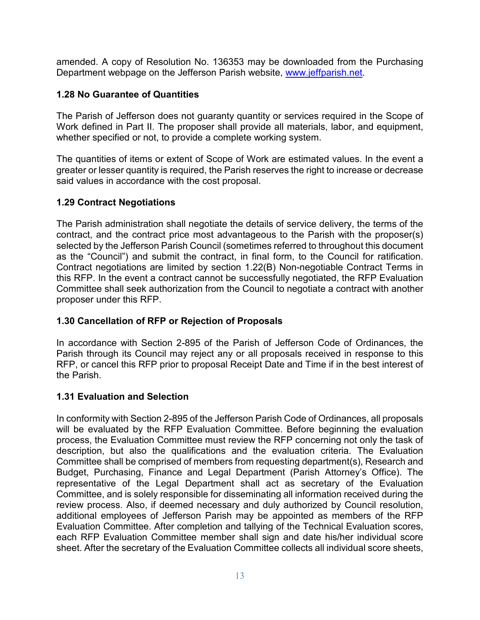amended. A copy of Resolution No. 136353 may be downloaded from the Purchasing Department webpage on the Jefferson Parish website, [www.jeffparish.net.](http://www.jeffparish.net/)

### <span id="page-12-0"></span>**1.28 No Guarantee of Quantities**

The Parish of Jefferson does not guaranty quantity or services required in the Scope of Work defined in Part II. The proposer shall provide all materials, labor, and equipment, whether specified or not, to provide a complete working system.

The quantities of items or extent of Scope of Work are estimated values. In the event a greater or lesser quantity is required, the Parish reserves the right to increase or decrease said values in accordance with the cost proposal.

# <span id="page-12-1"></span>**1.29 Contract Negotiations**

The Parish administration shall negotiate the details of service delivery, the terms of the contract, and the contract price most advantageous to the Parish with the proposer(s) selected by the Jefferson Parish Council (sometimes referred to throughout this document as the "Council") and submit the contract, in final form, to the Council for ratification. Contract negotiations are limited by section 1.22(B) Non-negotiable Contract Terms in this RFP. In the event a contract cannot be successfully negotiated, the RFP Evaluation Committee shall seek authorization from the Council to negotiate a contract with another proposer under this RFP.

# <span id="page-12-2"></span>**1.30 Cancellation of RFP or Rejection of Proposals**

In accordance with Section 2-895 of the Parish of Jefferson Code of Ordinances, the Parish through its Council may reject any or all proposals received in response to this RFP, or cancel this RFP prior to proposal Receipt Date and Time if in the best interest of the Parish.

# <span id="page-12-3"></span>**1.31 Evaluation and Selection**

In conformity with Section 2-895 of the Jefferson Parish Code of Ordinances, all proposals will be evaluated by the RFP Evaluation Committee. Before beginning the evaluation process, the Evaluation Committee must review the RFP concerning not only the task of description, but also the qualifications and the evaluation criteria. The Evaluation Committee shall be comprised of members from requesting department(s), Research and Budget, Purchasing, Finance and Legal Department (Parish Attorney's Office). The representative of the Legal Department shall act as secretary of the Evaluation Committee, and is solely responsible for disseminating all information received during the review process. Also, if deemed necessary and duly authorized by Council resolution, additional employees of Jefferson Parish may be appointed as members of the RFP Evaluation Committee. After completion and tallying of the Technical Evaluation scores, each RFP Evaluation Committee member shall sign and date his/her individual score sheet. After the secretary of the Evaluation Committee collects all individual score sheets,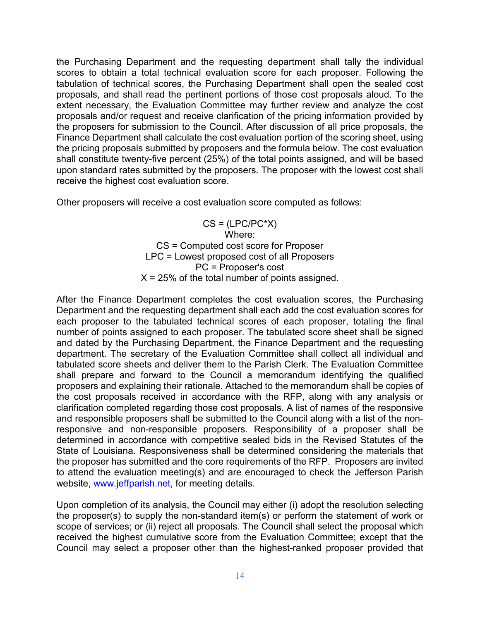the Purchasing Department and the requesting department shall tally the individual scores to obtain a total technical evaluation score for each proposer. Following the tabulation of technical scores, the Purchasing Department shall open the sealed cost proposals, and shall read the pertinent portions of those cost proposals aloud. To the extent necessary, the Evaluation Committee may further review and analyze the cost proposals and/or request and receive clarification of the pricing information provided by the proposers for submission to the Council. After discussion of all price proposals, the Finance Department shall calculate the cost evaluation portion of the scoring sheet, using the pricing proposals submitted by proposers and the formula below. The cost evaluation shall constitute twenty-five percent (25%) of the total points assigned, and will be based upon standard rates submitted by the proposers. The proposer with the lowest cost shall receive the highest cost evaluation score.

Other proposers will receive a cost evaluation score computed as follows:

 $CS = (LPC/PC^*X)$ Where: CS = Computed cost score for Proposer LPC = Lowest proposed cost of all Proposers PC = Proposer's cost  $X = 25\%$  of the total number of points assigned.

After the Finance Department completes the cost evaluation scores, the Purchasing Department and the requesting department shall each add the cost evaluation scores for each proposer to the tabulated technical scores of each proposer, totaling the final number of points assigned to each proposer. The tabulated score sheet shall be signed and dated by the Purchasing Department, the Finance Department and the requesting department. The secretary of the Evaluation Committee shall collect all individual and tabulated score sheets and deliver them to the Parish Clerk. The Evaluation Committee shall prepare and forward to the Council a memorandum identifying the qualified proposers and explaining their rationale. Attached to the memorandum shall be copies of the cost proposals received in accordance with the RFP, along with any analysis or clarification completed regarding those cost proposals. A list of names of the responsive and responsible proposers shall be submitted to the Council along with a list of the nonresponsive and non-responsible proposers. Responsibility of a proposer shall be determined in accordance with competitive sealed bids in the Revised Statutes of the State of Louisiana. Responsiveness shall be determined considering the materials that the proposer has submitted and the core requirements of the RFP. Proposers are invited to attend the evaluation meeting(s) and are encouraged to check the Jefferson Parish website, [www.jeffparish.net,](http://www.jeffparish.net/) for meeting details.

Upon completion of its analysis, the Council may either (i) adopt the resolution selecting the proposer(s) to supply the non-standard item(s) or perform the statement of work or scope of services; or (ii) reject all proposals. The Council shall select the proposal which received the highest cumulative score from the Evaluation Committee; except that the Council may select a proposer other than the highest-ranked proposer provided that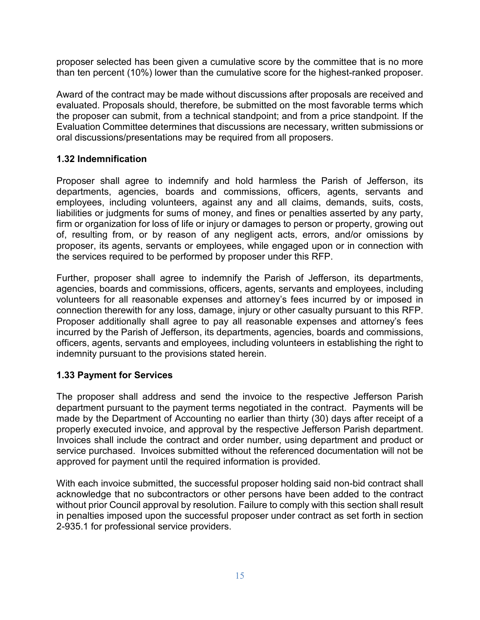proposer selected has been given a cumulative score by the committee that is no more than ten percent (10%) lower than the cumulative score for the highest-ranked proposer.

Award of the contract may be made without discussions after proposals are received and evaluated. Proposals should, therefore, be submitted on the most favorable terms which the proposer can submit, from a technical standpoint; and from a price standpoint. If the Evaluation Committee determines that discussions are necessary, written submissions or oral discussions/presentations may be required from all proposers.

#### <span id="page-14-0"></span>**1.32 Indemnification**

Proposer shall agree to indemnify and hold harmless the Parish of Jefferson, its departments, agencies, boards and commissions, officers, agents, servants and employees, including volunteers, against any and all claims, demands, suits, costs, liabilities or judgments for sums of money, and fines or penalties asserted by any party, firm or organization for loss of life or injury or damages to person or property, growing out of, resulting from, or by reason of any negligent acts, errors, and/or omissions by proposer, its agents, servants or employees, while engaged upon or in connection with the services required to be performed by proposer under this RFP.

Further, proposer shall agree to indemnify the Parish of Jefferson, its departments, agencies, boards and commissions, officers, agents, servants and employees, including volunteers for all reasonable expenses and attorney's fees incurred by or imposed in connection therewith for any loss, damage, injury or other casualty pursuant to this RFP. Proposer additionally shall agree to pay all reasonable expenses and attorney's fees incurred by the Parish of Jefferson, its departments, agencies, boards and commissions, officers, agents, servants and employees, including volunteers in establishing the right to indemnity pursuant to the provisions stated herein.

#### <span id="page-14-1"></span>**1.33 Payment for Services**

The proposer shall address and send the invoice to the respective Jefferson Parish department pursuant to the payment terms negotiated in the contract. Payments will be made by the Department of Accounting no earlier than thirty (30) days after receipt of a properly executed invoice, and approval by the respective Jefferson Parish department. Invoices shall include the contract and order number, using department and product or service purchased. Invoices submitted without the referenced documentation will not be approved for payment until the required information is provided.

With each invoice submitted, the successful proposer holding said non-bid contract shall acknowledge that no subcontractors or other persons have been added to the contract without prior Council approval by resolution. Failure to comply with this section shall result in penalties imposed upon the successful proposer under contract as set forth in section 2-935.1 for professional service providers.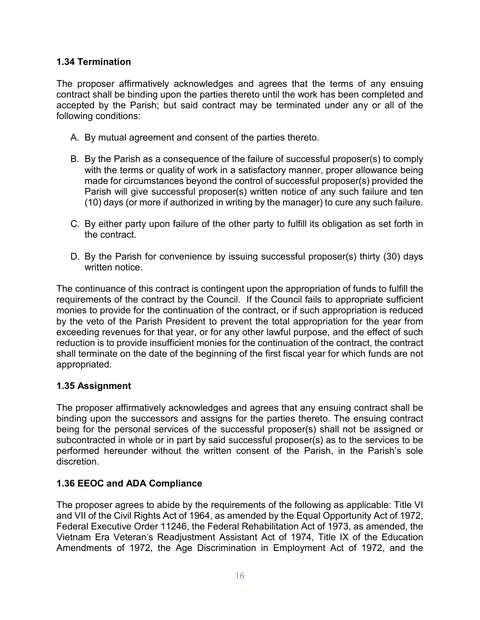#### <span id="page-15-0"></span>**1.34 Termination**

The proposer affirmatively acknowledges and agrees that the terms of any ensuing contract shall be binding upon the parties thereto until the work has been completed and accepted by the Parish; but said contract may be terminated under any or all of the following conditions:

- A. By mutual agreement and consent of the parties thereto.
- B. By the Parish as a consequence of the failure of successful proposer(s) to comply with the terms or quality of work in a satisfactory manner, proper allowance being made for circumstances beyond the control of successful proposer(s) provided the Parish will give successful proposer(s) written notice of any such failure and ten (10) days (or more if authorized in writing by the manager) to cure any such failure.
- C. By either party upon failure of the other party to fulfill its obligation as set forth in the contract.
- D. By the Parish for convenience by issuing successful proposer(s) thirty (30) days written notice.

The continuance of this contract is contingent upon the appropriation of funds to fulfill the requirements of the contract by the Council. If the Council fails to appropriate sufficient monies to provide for the continuation of the contract, or if such appropriation is reduced by the veto of the Parish President to prevent the total appropriation for the year from exceeding revenues for that year, or for any other lawful purpose, and the effect of such reduction is to provide insufficient monies for the continuation of the contract, the contract shall terminate on the date of the beginning of the first fiscal year for which funds are not appropriated.

### <span id="page-15-1"></span>**1.35 Assignment**

The proposer affirmatively acknowledges and agrees that any ensuing contract shall be binding upon the successors and assigns for the parties thereto. The ensuing contract being for the personal services of the successful proposer(s) shall not be assigned or subcontracted in whole or in part by said successful proposer(s) as to the services to be performed hereunder without the written consent of the Parish, in the Parish's sole discretion.

#### <span id="page-15-2"></span>**1.36 EEOC and ADA Compliance**

The proposer agrees to abide by the requirements of the following as applicable: Title VI and VII of the Civil Rights Act of 1964, as amended by the Equal Opportunity Act of 1972, Federal Executive Order 11246, the Federal Rehabilitation Act of 1973, as amended, the Vietnam Era Veteran's Readjustment Assistant Act of 1974, Title IX of the Education Amendments of 1972, the Age Discrimination in Employment Act of 1972, and the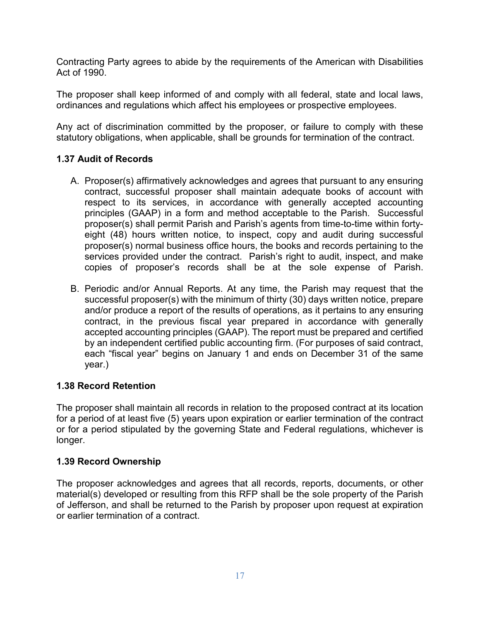Contracting Party agrees to abide by the requirements of the American with Disabilities Act of 1990.

The proposer shall keep informed of and comply with all federal, state and local laws, ordinances and regulations which affect his employees or prospective employees.

Any act of discrimination committed by the proposer, or failure to comply with these statutory obligations, when applicable, shall be grounds for termination of the contract.

### <span id="page-16-0"></span>**1.37 Audit of Records**

- A. Proposer(s) affirmatively acknowledges and agrees that pursuant to any ensuring contract, successful proposer shall maintain adequate books of account with respect to its services, in accordance with generally accepted accounting principles (GAAP) in a form and method acceptable to the Parish. Successful proposer(s) shall permit Parish and Parish's agents from time-to-time within fortyeight (48) hours written notice, to inspect, copy and audit during successful proposer(s) normal business office hours, the books and records pertaining to the services provided under the contract. Parish's right to audit, inspect, and make copies of proposer's records shall be at the sole expense of Parish.
- B. Periodic and/or Annual Reports. At any time, the Parish may request that the successful proposer(s) with the minimum of thirty (30) days written notice, prepare and/or produce a report of the results of operations, as it pertains to any ensuring contract, in the previous fiscal year prepared in accordance with generally accepted accounting principles (GAAP). The report must be prepared and certified by an independent certified public accounting firm. (For purposes of said contract, each "fiscal year" begins on January 1 and ends on December 31 of the same year.)

### <span id="page-16-1"></span>**1.38 Record Retention**

The proposer shall maintain all records in relation to the proposed contract at its location for a period of at least five (5) years upon expiration or earlier termination of the contract or for a period stipulated by the governing State and Federal regulations, whichever is longer.

### <span id="page-16-2"></span>**1.39 Record Ownership**

The proposer acknowledges and agrees that all records, reports, documents, or other material(s) developed or resulting from this RFP shall be the sole property of the Parish of Jefferson, and shall be returned to the Parish by proposer upon request at expiration or earlier termination of a contract.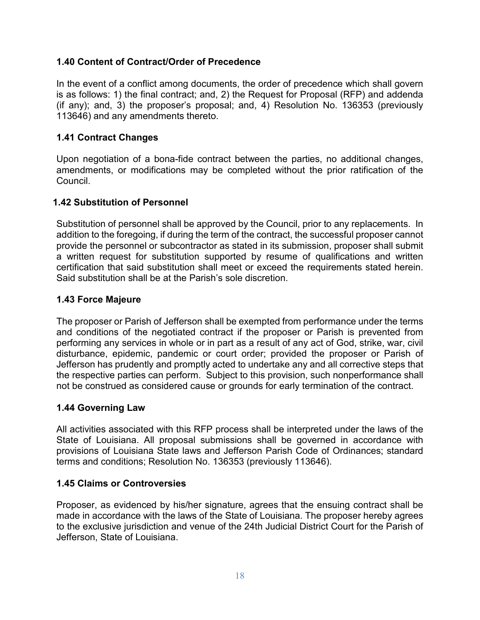#### <span id="page-17-0"></span>**1.40 Content of Contract/Order of Precedence**

In the event of a conflict among documents, the order of precedence which shall govern is as follows: 1) the final contract; and, 2) the Request for Proposal (RFP) and addenda (if any); and, 3) the proposer's proposal; and, 4) Resolution No. 136353 (previously 113646) and any amendments thereto.

#### <span id="page-17-1"></span>**1.41 Contract Changes**

Upon negotiation of a bona-fide contract between the parties, no additional changes, amendments, or modifications may be completed without the prior ratification of the **Council** 

#### <span id="page-17-2"></span>**1.42 Substitution of Personnel**

Substitution of personnel shall be approved by the Council, prior to any replacements. In addition to the foregoing, if during the term of the contract, the successful proposer cannot provide the personnel or subcontractor as stated in its submission, proposer shall submit a written request for substitution supported by resume of qualifications and written certification that said substitution shall meet or exceed the requirements stated herein. Said substitution shall be at the Parish's sole discretion.

#### <span id="page-17-3"></span>**1.43 Force Majeure**

The proposer or Parish of Jefferson shall be exempted from performance under the terms and conditions of the negotiated contract if the proposer or Parish is prevented from performing any services in whole or in part as a result of any act of God, strike, war, civil disturbance, epidemic, pandemic or court order; provided the proposer or Parish of Jefferson has prudently and promptly acted to undertake any and all corrective steps that the respective parties can perform. Subject to this provision, such nonperformance shall not be construed as considered cause or grounds for early termination of the contract.

#### <span id="page-17-4"></span>**1.44 Governing Law**

All activities associated with this RFP process shall be interpreted under the laws of the State of Louisiana. All proposal submissions shall be governed in accordance with provisions of Louisiana State laws and Jefferson Parish Code of Ordinances; standard terms and conditions; Resolution No. 136353 (previously 113646).

#### <span id="page-17-5"></span>**1.45 Claims or Controversies**

Proposer, as evidenced by his/her signature, agrees that the ensuing contract shall be made in accordance with the laws of the State of Louisiana. The proposer hereby agrees to the exclusive jurisdiction and venue of the 24th Judicial District Court for the Parish of Jefferson, State of Louisiana.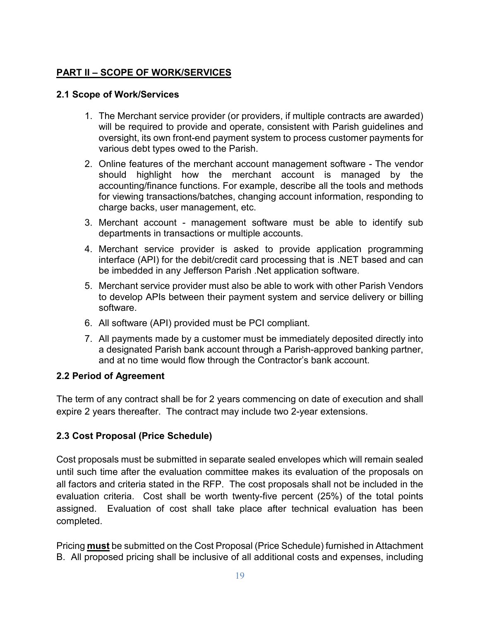# **PART II – SCOPE OF WORK/SERVICES**

### <span id="page-18-1"></span><span id="page-18-0"></span>**2.1 Scope of Work/Services**

- 1. The Merchant service provider (or providers, if multiple contracts are awarded) will be required to provide and operate, consistent with Parish guidelines and oversight, its own front-end payment system to process customer payments for various debt types owed to the Parish.
- 2. Online features of the merchant account management software The vendor should highlight how the merchant account is managed by the accounting/finance functions. For example, describe all the tools and methods for viewing transactions/batches, changing account information, responding to charge backs, user management, etc.
- 3. Merchant account management software must be able to identify sub departments in transactions or multiple accounts.
- 4. Merchant service provider is asked to provide application programming interface (API) for the debit/credit card processing that is .NET based and can be imbedded in any Jefferson Parish .Net application software.
- 5. Merchant service provider must also be able to work with other Parish Vendors to develop APIs between their payment system and service delivery or billing software.
- 6. All software (API) provided must be PCI compliant.
- 7. All payments made by a customer must be immediately deposited directly into a designated Parish bank account through a Parish-approved banking partner, and at no time would flow through the Contractor's bank account.

# **2.2 Period of Agreement**

The term of any contract shall be for 2 years commencing on date of execution and shall expire 2 years thereafter. The contract may include two 2-year extensions.

# <span id="page-18-2"></span>**2.3 Cost Proposal (Price Schedule)**

Cost proposals must be submitted in separate sealed envelopes which will remain sealed until such time after the evaluation committee makes its evaluation of the proposals on all factors and criteria stated in the RFP. The cost proposals shall not be included in the evaluation criteria. Cost shall be worth twenty-five percent (25%) of the total points assigned. Evaluation of cost shall take place after technical evaluation has been completed.

Pricing **must** be submitted on the Cost Proposal (Price Schedule) furnished in Attachment B. All proposed pricing shall be inclusive of all additional costs and expenses, including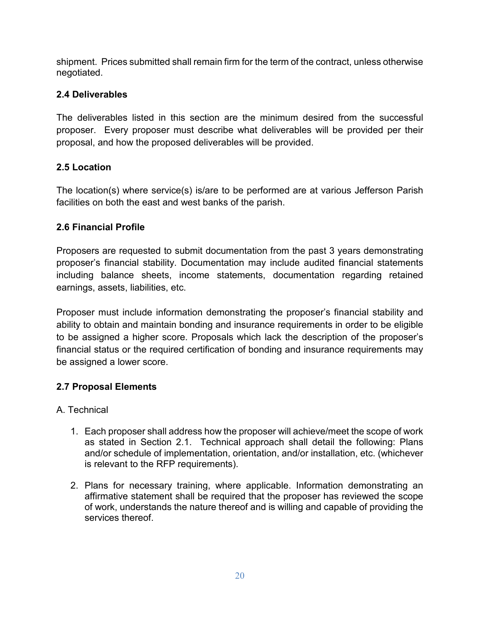shipment. Prices submitted shall remain firm for the term of the contract, unless otherwise negotiated.

# <span id="page-19-0"></span>**2.4 Deliverables**

The deliverables listed in this section are the minimum desired from the successful proposer. Every proposer must describe what deliverables will be provided per their proposal, and how the proposed deliverables will be provided.

# <span id="page-19-1"></span>**2.5 Location**

The location(s) where service(s) is/are to be performed are at various Jefferson Parish facilities on both the east and west banks of the parish.

# <span id="page-19-2"></span>**2.6 Financial Profile**

Proposers are requested to submit documentation from the past 3 years demonstrating proposer's financial stability. Documentation may include audited financial statements including balance sheets, income statements, documentation regarding retained earnings, assets, liabilities, etc.

Proposer must include information demonstrating the proposer's financial stability and ability to obtain and maintain bonding and insurance requirements in order to be eligible to be assigned a higher score. Proposals which lack the description of the proposer's financial status or the required certification of bonding and insurance requirements may be assigned a lower score.

# <span id="page-19-3"></span>**2.7 Proposal Elements**

# <span id="page-19-4"></span>A. Technical

- 1. Each proposer shall address how the proposer will achieve/meet the scope of work as stated in Section 2.1. Technical approach shall detail the following: Plans and/or schedule of implementation, orientation, and/or installation, etc. (whichever is relevant to the RFP requirements).
- 2. Plans for necessary training, where applicable. Information demonstrating an affirmative statement shall be required that the proposer has reviewed the scope of work, understands the nature thereof and is willing and capable of providing the services thereof.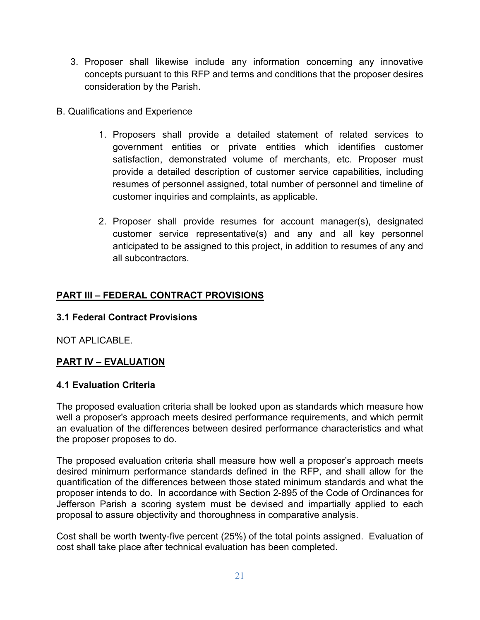- 3. Proposer shall likewise include any information concerning any innovative concepts pursuant to this RFP and terms and conditions that the proposer desires consideration by the Parish.
- <span id="page-20-0"></span>B. Qualifications and Experience
	- 1. Proposers shall provide a detailed statement of related services to government entities or private entities which identifies customer satisfaction, demonstrated volume of merchants, etc. Proposer must provide a detailed description of customer service capabilities, including resumes of personnel assigned, total number of personnel and timeline of customer inquiries and complaints, as applicable.
	- 2. Proposer shall provide resumes for account manager(s), designated customer service representative(s) and any and all key personnel anticipated to be assigned to this project, in addition to resumes of any and all subcontractors.

#### **PART III – FEDERAL CONTRACT PROVISIONS**

#### <span id="page-20-1"></span>**3.1 Federal Contract Provisions**

NOT APLICABLE.

### **PART IV – EVALUATION**

#### <span id="page-20-2"></span>**4.1 Evaluation Criteria**

The proposed evaluation criteria shall be looked upon as standards which measure how well a proposer's approach meets desired performance requirements, and which permit an evaluation of the differences between desired performance characteristics and what the proposer proposes to do.

The proposed evaluation criteria shall measure how well a proposer's approach meets desired minimum performance standards defined in the RFP, and shall allow for the quantification of the differences between those stated minimum standards and what the proposer intends to do. In accordance with Section 2-895 of the Code of Ordinances for Jefferson Parish a scoring system must be devised and impartially applied to each proposal to assure objectivity and thoroughness in comparative analysis.

Cost shall be worth twenty-five percent (25%) of the total points assigned. Evaluation of cost shall take place after technical evaluation has been completed.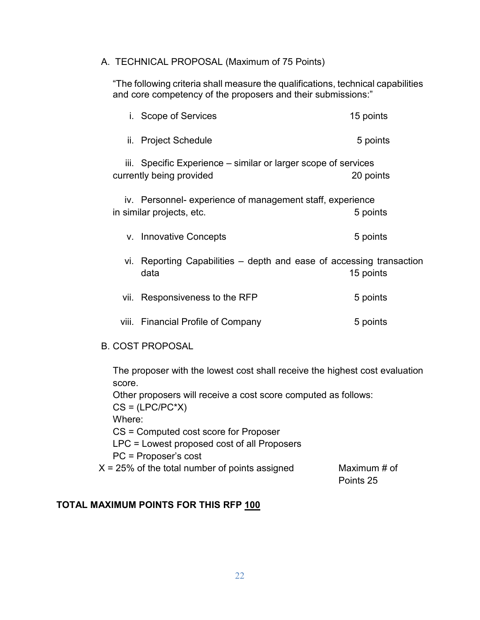#### A. TECHNICAL PROPOSAL (Maximum of 75 Points)

"The following criteria shall measure the qualifications, technical capabilities and core competency of the proposers and their submissions:"

|      | i. Scope of Services                                                                       | 15 points |
|------|--------------------------------------------------------------------------------------------|-----------|
|      | ii. Project Schedule                                                                       | 5 points  |
|      | iii. Specific Experience - similar or larger scope of services<br>currently being provided | 20 points |
|      | iv. Personnel- experience of management staff, experience<br>in similar projects, etc.     | 5 points  |
|      | v. Innovative Concepts                                                                     | 5 points  |
|      | vi. Reporting Capabilities – depth and ease of accessing transaction<br>data               | 15 points |
| Vİİ. | Responsiveness to the RFP                                                                  | 5 points  |
|      | viii. Financial Profile of Company                                                         | 5 points  |
|      |                                                                                            |           |

#### B. COST PROPOSAL

The proposer with the lowest cost shall receive the highest cost evaluation score.

Other proposers will receive a cost score computed as follows:

 $CS = (LPC/PC^*X)$ 

Where:

CS = Computed cost score for Proposer

LPC = Lowest proposed cost of all Proposers

PC = Proposer's cost

 $X = 25\%$  of the total number of points assigned Maximum # of

Points 25

### **TOTAL MAXIMUM POINTS FOR THIS RFP 100**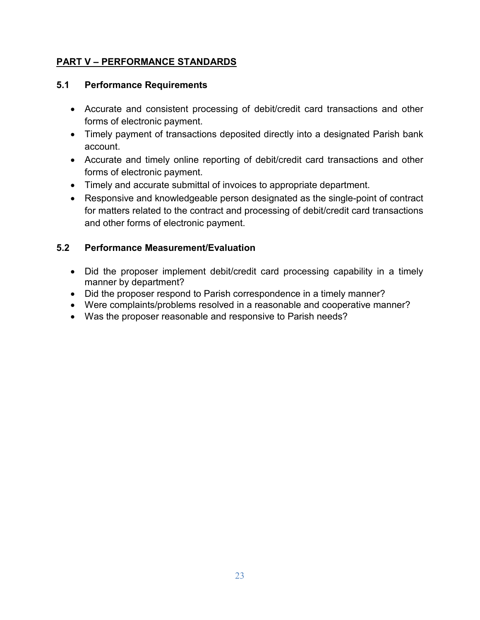### **PART V – PERFORMANCE STANDARDS**

#### <span id="page-22-0"></span>**5.1 Performance Requirements**

- Accurate and consistent processing of debit/credit card transactions and other forms of electronic payment.
- Timely payment of transactions deposited directly into a designated Parish bank account.
- Accurate and timely online reporting of debit/credit card transactions and other forms of electronic payment.
- Timely and accurate submittal of invoices to appropriate department.
- Responsive and knowledgeable person designated as the single-point of contract for matters related to the contract and processing of debit/credit card transactions and other forms of electronic payment.

### <span id="page-22-1"></span>**5.2 Performance Measurement/Evaluation**

- Did the proposer implement debit/credit card processing capability in a timely manner by department?
- Did the proposer respond to Parish correspondence in a timely manner?
- Were complaints/problems resolved in a reasonable and cooperative manner?
- Was the proposer reasonable and responsive to Parish needs?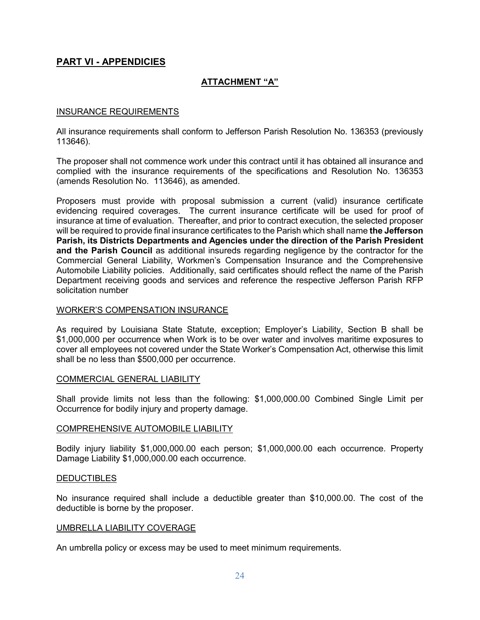#### **PART VI - APPENDICIES**

#### **ATTACHMENT "A"**

#### INSURANCE REQUIREMENTS

All insurance requirements shall conform to Jefferson Parish Resolution No. 136353 (previously 113646).

The proposer shall not commence work under this contract until it has obtained all insurance and complied with the insurance requirements of the specifications and Resolution No. 136353 (amends Resolution No. 113646), as amended.

Proposers must provide with proposal submission a current (valid) insurance certificate evidencing required coverages. The current insurance certificate will be used for proof of insurance at time of evaluation. Thereafter, and prior to contract execution, the selected proposer will be required to provide final insurance certificates to the Parish which shall name **the Jefferson Parish, its Districts Departments and Agencies under the direction of the Parish President and the Parish Council** as additional insureds regarding negligence by the contractor for the Commercial General Liability, Workmen's Compensation Insurance and the Comprehensive Automobile Liability policies. Additionally, said certificates should reflect the name of the Parish Department receiving goods and services and reference the respective Jefferson Parish RFP solicitation number

#### WORKER'S COMPENSATION INSURANCE

As required by Louisiana State Statute, exception; Employer's Liability, Section B shall be \$1,000,000 per occurrence when Work is to be over water and involves maritime exposures to cover all employees not covered under the State Worker's Compensation Act, otherwise this limit shall be no less than \$500,000 per occurrence.

#### COMMERCIAL GENERAL LIABILITY

Shall provide limits not less than the following: \$1,000,000.00 Combined Single Limit per Occurrence for bodily injury and property damage.

#### COMPREHENSIVE AUTOMOBILE LIABILITY

Bodily injury liability \$1,000,000.00 each person; \$1,000,000.00 each occurrence. Property Damage Liability \$1,000,000.00 each occurrence.

#### **DEDUCTIBLES**

No insurance required shall include a deductible greater than \$10,000.00. The cost of the deductible is borne by the proposer.

#### UMBRELLA LIABILITY COVERAGE

An umbrella policy or excess may be used to meet minimum requirements.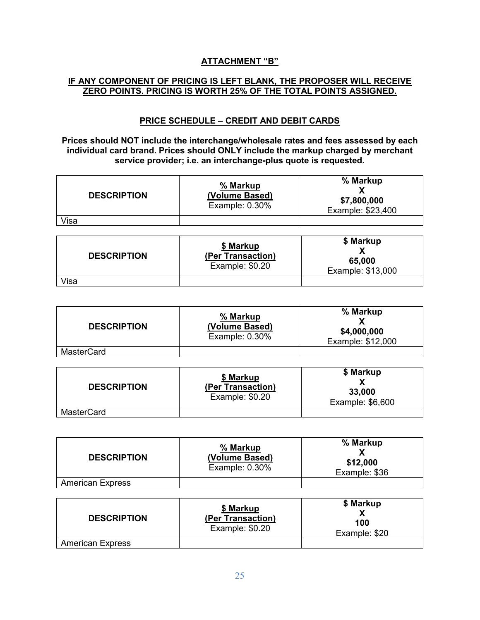#### **ATTACHMENT "B"**

#### **IF ANY COMPONENT OF PRICING IS LEFT BLANK, THE PROPOSER WILL RECEIVE ZERO POINTS. PRICING IS WORTH 25% OF THE TOTAL POINTS ASSIGNED.**

#### **PRICE SCHEDULE – CREDIT AND DEBIT CARDS**

**Prices should NOT include the interchange/wholesale rates and fees assessed by each individual card brand. Prices should ONLY include the markup charged by merchant service provider; i.e. an interchange-plus quote is requested.**

| <b>DESCRIPTION</b> | % Markup<br>(Volume Based)<br>Example: $0.30\%$ | % Markup<br>\$7,800,000<br>Example: \$23,400 |
|--------------------|-------------------------------------------------|----------------------------------------------|
| Visa               |                                                 |                                              |

| <b>DESCRIPTION</b> | \$ Markup<br>(Per Transaction)<br>Example: \$0.20 | \$ Markup<br>65,000<br>Example: \$13,000 |
|--------------------|---------------------------------------------------|------------------------------------------|
| √isa               |                                                   |                                          |

| <b>DESCRIPTION</b> | % Markup<br>(Volume Based)<br>Example: $0.30\%$ | % Markup<br>\$4,000,000<br>Example: \$12,000 |
|--------------------|-------------------------------------------------|----------------------------------------------|
| <b>MasterCard</b>  |                                                 |                                              |

| <b>DESCRIPTION</b> | \$ Markup<br>(Per Transaction)<br>Example: \$0.20 | \$ Markup<br>33,000<br>Example: \$6,600 |  |  |  |  |  |
|--------------------|---------------------------------------------------|-----------------------------------------|--|--|--|--|--|
| <b>MasterCard</b>  |                                                   |                                         |  |  |  |  |  |

| <b>DESCRIPTION</b>      | % Markup<br>(Volume Based)<br>Example: 0.30% | % Markup<br>\$12,000<br>Example: \$36 |
|-------------------------|----------------------------------------------|---------------------------------------|
| <b>American Express</b> |                                              |                                       |

| <b>DESCRIPTION</b>      | \$ Markup<br>(Per Transaction)<br>Example: \$0.20 | \$ Markup<br>100<br>Example: \$20 |
|-------------------------|---------------------------------------------------|-----------------------------------|
| <b>American Express</b> |                                                   |                                   |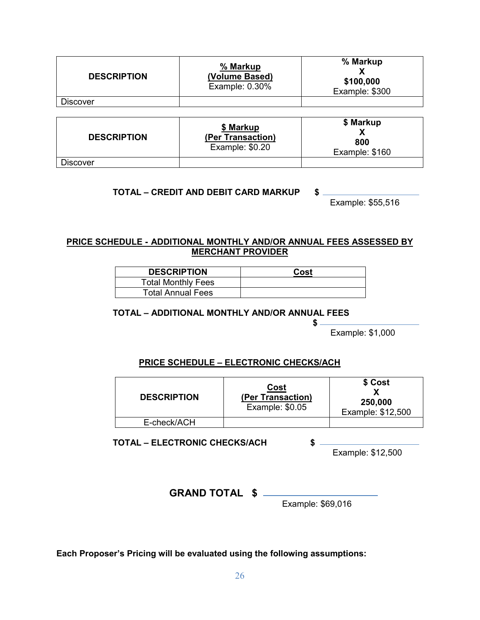| <b>DESCRIPTION</b> | % Markup<br>(Volume Based)<br>Example: 0.30%      | % Markup<br>\$100,000<br>Example: \$300 |
|--------------------|---------------------------------------------------|-----------------------------------------|
| <b>Discover</b>    |                                                   |                                         |
|                    |                                                   |                                         |
| <b>DESCRIPTION</b> | \$ Markup<br>(Per Transaction)<br>Example: \$0.20 | \$ Markup<br>800<br>Example: \$160      |

**Discover** 

#### **TOTAL – CREDIT AND DEBIT CARD MARKUP \$**

Example: \$55,516

#### **PRICE SCHEDULE - ADDITIONAL MONTHLY AND/OR ANNUAL FEES ASSESSED BY MERCHANT PROVIDER**

| <b>DESCRIPTION</b>        | Cost |
|---------------------------|------|
| <b>Total Monthly Fees</b> |      |
| <b>Total Annual Fees</b>  |      |

#### **TOTAL – ADDITIONAL MONTHLY AND/OR ANNUAL FEES**

 **\$** 

Example: \$1,000

#### **PRICE SCHEDULE – ELECTRONIC CHECKS/ACH**

| <b>DESCRIPTION</b> | <u>Cost</u><br>(Per Transaction)<br>Example: \$0.05 | \$ Cost<br>250,000<br>Example: \$12,500 |
|--------------------|-----------------------------------------------------|-----------------------------------------|
| E-check/ACH        |                                                     |                                         |

**TOTAL – ELECTRONIC CHECKS/ACH \$**

Example: \$12,500

**GRAND TOTAL \$** 

Example: \$69,016

**Each Proposer's Pricing will be evaluated using the following assumptions:**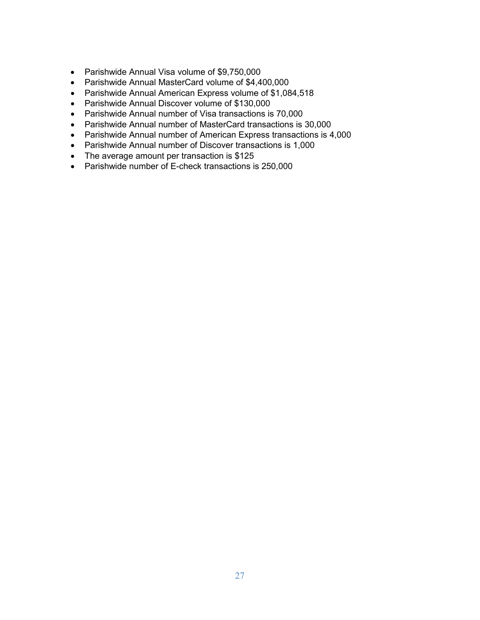- Parishwide Annual Visa volume of \$9,750,000
- Parishwide Annual MasterCard volume of \$4,400,000
- Parishwide Annual American Express volume of \$1,084,518
- Parishwide Annual Discover volume of \$130,000
- Parishwide Annual number of Visa transactions is 70,000
- Parishwide Annual number of MasterCard transactions is 30,000
- Parishwide Annual number of American Express transactions is 4,000
- Parishwide Annual number of Discover transactions is 1,000
- The average amount per transaction is \$125
- Parishwide number of E-check transactions is 250,000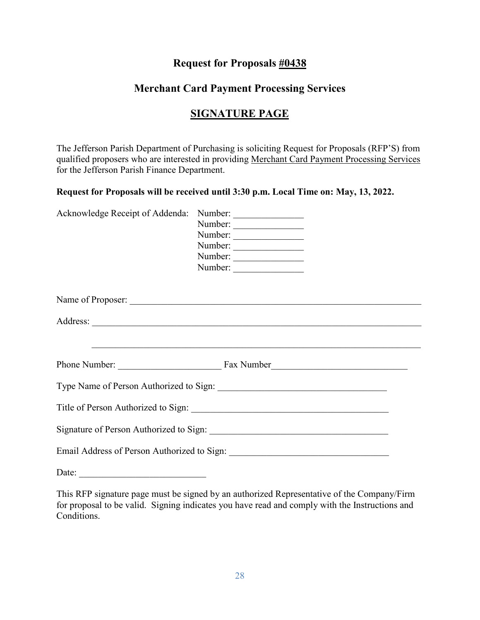### **Request for Proposals #0438**

# **Merchant Card Payment Processing Services**

# **SIGNATURE PAGE**

The Jefferson Parish Department of Purchasing is soliciting Request for Proposals (RFP'S) from qualified proposers who are interested in providing Merchant Card Payment Processing Services for the Jefferson Parish Finance Department.

#### **Request for Proposals will be received until 3:30 p.m. Local Time on: May, 13, 2022.**

| Acknowledge Receipt of Addenda: Number: _________________                                                             | Number:<br>Number:<br>Number:<br>Number:<br>Number: |  |
|-----------------------------------------------------------------------------------------------------------------------|-----------------------------------------------------|--|
|                                                                                                                       |                                                     |  |
|                                                                                                                       |                                                     |  |
| <u> 1990 - Jan Barbara de Santo Antonio de Santo de Santo de Santo de Santo de Santo de Santo de Santo de Santo d</u> |                                                     |  |
|                                                                                                                       |                                                     |  |
|                                                                                                                       |                                                     |  |
|                                                                                                                       |                                                     |  |
|                                                                                                                       |                                                     |  |
| Date:                                                                                                                 |                                                     |  |

This RFP signature page must be signed by an authorized Representative of the Company/Firm for proposal to be valid. Signing indicates you have read and comply with the Instructions and Conditions.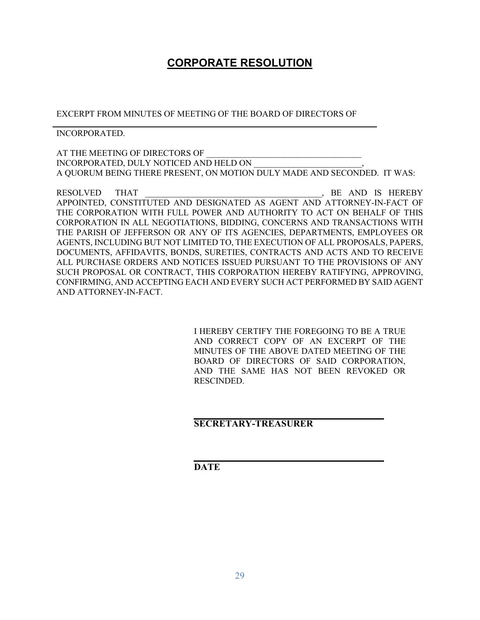# **CORPORATE RESOLUTION**

EXCERPT FROM MINUTES OF MEETING OF THE BOARD OF DIRECTORS OF

#### INCORPORATED.

AT THE MEETING OF DIRECTORS OF INCORPORATED, DULY NOTICED AND HELD ON A QUORUM BEING THERE PRESENT, ON MOTION DULY MADE AND SECONDED. IT WAS:

RESOLVED THAT RESOLVED THAT SERIES AND STATE RESOLVED THAT APPOINTED, CONSTITUTED AND DESIGNATED AS AGENT AND ATTORNEY-IN-FACT OF THE CORPORATION WITH FULL POWER AND AUTHORITY TO ACT ON BEHALF OF THIS CORPORATION IN ALL NEGOTIATIONS, BIDDING, CONCERNS AND TRANSACTIONS WITH THE PARISH OF JEFFERSON OR ANY OF ITS AGENCIES, DEPARTMENTS, EMPLOYEES OR AGENTS, INCLUDING BUT NOT LIMITED TO, THE EXECUTION OF ALL PROPOSALS, PAPERS, DOCUMENTS, AFFIDAVITS, BONDS, SURETIES, CONTRACTS AND ACTS AND TO RECEIVE ALL PURCHASE ORDERS AND NOTICES ISSUED PURSUANT TO THE PROVISIONS OF ANY SUCH PROPOSAL OR CONTRACT, THIS CORPORATION HEREBY RATIFYING, APPROVING, CONFIRMING, AND ACCEPTING EACH AND EVERY SUCH ACT PERFORMED BY SAID AGENT AND ATTORNEY-IN-FACT.

> I HEREBY CERTIFY THE FOREGOING TO BE A TRUE AND CORRECT COPY OF AN EXCERPT OF THE MINUTES OF THE ABOVE DATED MEETING OF THE BOARD OF DIRECTORS OF SAID CORPORATION, AND THE SAME HAS NOT BEEN REVOKED OR RESCINDED.

#### **SECRETARY-TREASURER**

**DATE**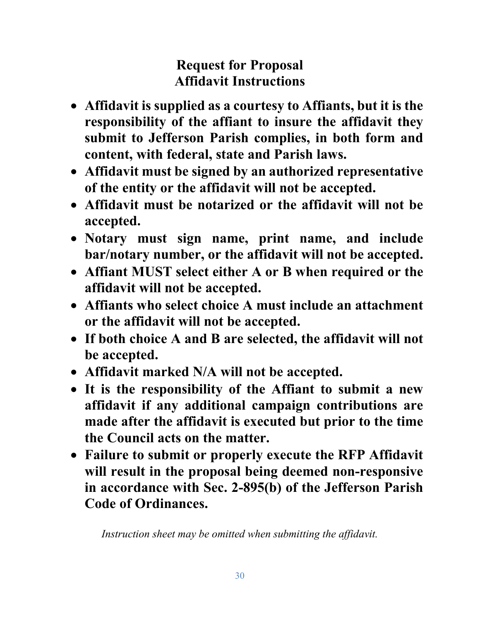# **Request for Proposal Affidavit Instructions**

- **Affidavit is supplied as a courtesy to Affiants, but it is the responsibility of the affiant to insure the affidavit they submit to Jefferson Parish complies, in both form and content, with federal, state and Parish laws.**
- **Affidavit must be signed by an authorized representative of the entity or the affidavit will not be accepted.**
- **Affidavit must be notarized or the affidavit will not be accepted.**
- **Notary must sign name, print name, and include bar/notary number, or the affidavit will not be accepted.**
- **Affiant MUST select either A or B when required or the affidavit will not be accepted.**
- **Affiants who select choice A must include an attachment or the affidavit will not be accepted.**
- **If both choice A and B are selected, the affidavit will not be accepted.**
- **Affidavit marked N/A will not be accepted.**
- **It is the responsibility of the Affiant to submit a new affidavit if any additional campaign contributions are made after the affidavit is executed but prior to the time the Council acts on the matter.**
- **Failure to submit or properly execute the RFP Affidavit will result in the proposal being deemed non-responsive in accordance with Sec. 2-895(b) of the Jefferson Parish Code of Ordinances.**

*Instruction sheet may be omitted when submitting the affidavit.*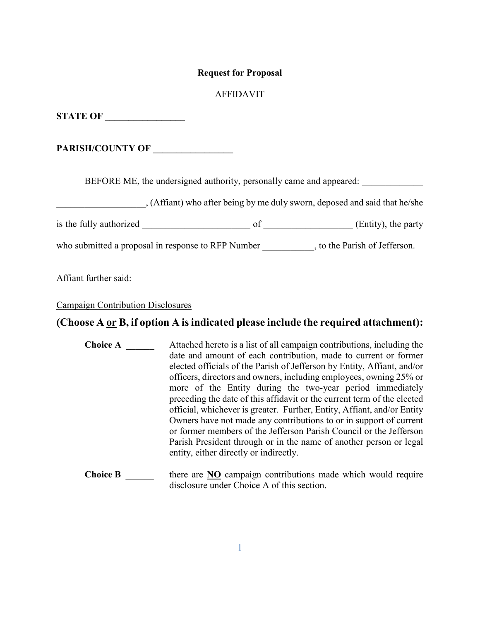#### **Request for Proposal**

#### AFFIDAVIT

**STATE OF** 

PARISH/COUNTY OF

BEFORE ME, the undersigned authority, personally came and appeared:

\_\_\_\_\_\_\_\_\_\_\_\_\_\_\_\_\_\_\_, (Affiant) who after being by me duly sworn, deposed and said that he/she

is the fully authorized \_\_\_\_\_\_\_\_\_\_\_\_\_\_\_\_\_\_\_\_\_\_\_ of \_\_\_\_\_\_\_\_\_\_\_\_\_\_\_\_\_\_\_ (Entity), the party

who submitted a proposal in response to RFP Number \_\_\_\_\_\_\_\_\_\_, to the Parish of Jefferson.

Affiant further said:

#### Campaign Contribution Disclosures

#### **(Choose A or B, if option A is indicated please include the required attachment):**

- **Choice A Attached hereto is a list of all campaign contributions, including the** date and amount of each contribution, made to current or former elected officials of the Parish of Jefferson by Entity, Affiant, and/or officers, directors and owners, including employees, owning 25% or more of the Entity during the two-year period immediately preceding the date of this affidavit or the current term of the elected official, whichever is greater. Further, Entity, Affiant, and/or Entity Owners have not made any contributions to or in support of current or former members of the Jefferson Parish Council or the Jefferson Parish President through or in the name of another person or legal entity, either directly or indirectly.
- **Choice B** there are **NO** campaign contributions made which would require disclosure under Choice A of this section.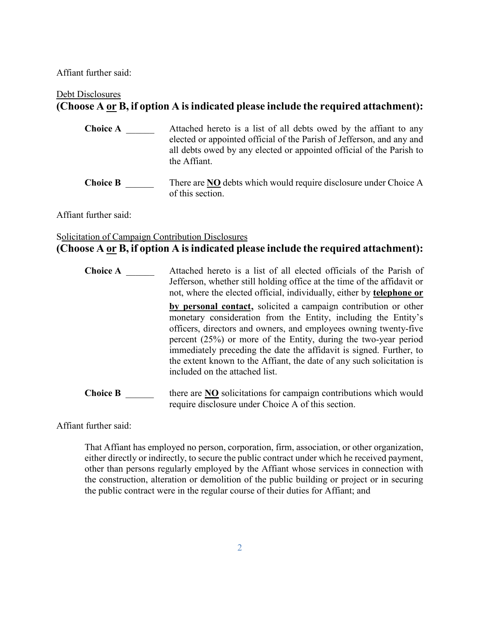Affiant further said:

# Debt Disclosures **(Choose A or B, if option A isindicated please include the required attachment):**

- **Choice A Attached hereto is a list of all debts owed by the affiant to any** elected or appointed official of the Parish of Jefferson, and any and all debts owed by any elected or appointed official of the Parish to the Affiant.
- **Choice B** There are **NO** debts which would require disclosure under Choice A of this section.

Affiant further said:

### Solicitation of Campaign Contribution Disclosures **(Choose A or B, if option A is indicated please include the required attachment):**

| <b>Choice A</b> | Attached hereto is a list of all elected officials of the Parish of<br>Jefferson, whether still holding office at the time of the affidavit or<br>not, where the elected official, individually, either by <b>telephone or</b>                                                                                                                                                                                                                               |
|-----------------|--------------------------------------------------------------------------------------------------------------------------------------------------------------------------------------------------------------------------------------------------------------------------------------------------------------------------------------------------------------------------------------------------------------------------------------------------------------|
|                 | by personal contact, solicited a campaign contribution or other<br>monetary consideration from the Entity, including the Entity's<br>officers, directors and owners, and employees owning twenty-five<br>percent $(25%)$ or more of the Entity, during the two-year period<br>immediately preceding the date the affidavit is signed. Further, to<br>the extent known to the Affiant, the date of any such solicitation is<br>included on the attached list. |
| <b>Choice B</b> | there are <b>NO</b> solicitations for campaign contributions which would<br>require disclosure under Choice A of this section.                                                                                                                                                                                                                                                                                                                               |

Affiant further said:

That Affiant has employed no person, corporation, firm, association, or other organization, either directly or indirectly, to secure the public contract under which he received payment, other than persons regularly employed by the Affiant whose services in connection with the construction, alteration or demolition of the public building or project or in securing the public contract were in the regular course of their duties for Affiant; and